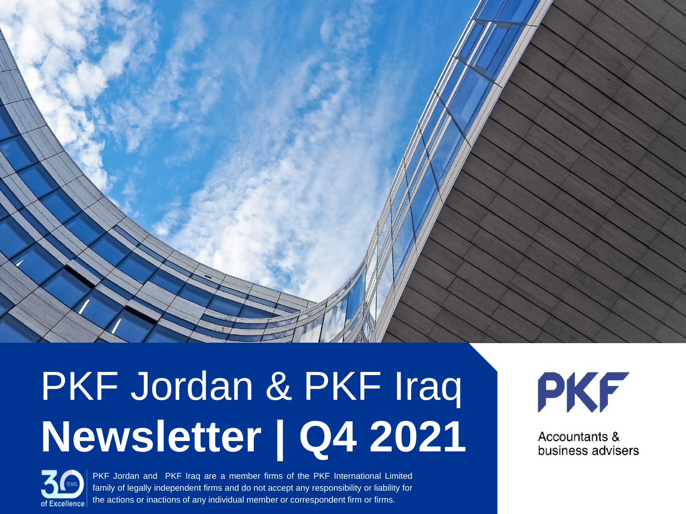# PKF Jordan & PKF Iraq **Newsletter | Q4 2021**



PKF Jordan and PKF Iraq are a member firms of the PKF International Limited family of legally independent firms and do not accept any responsibility or liability for the actions or inactions of any individual member or correspondent firm or firms.

PKF

Accountants & business advisers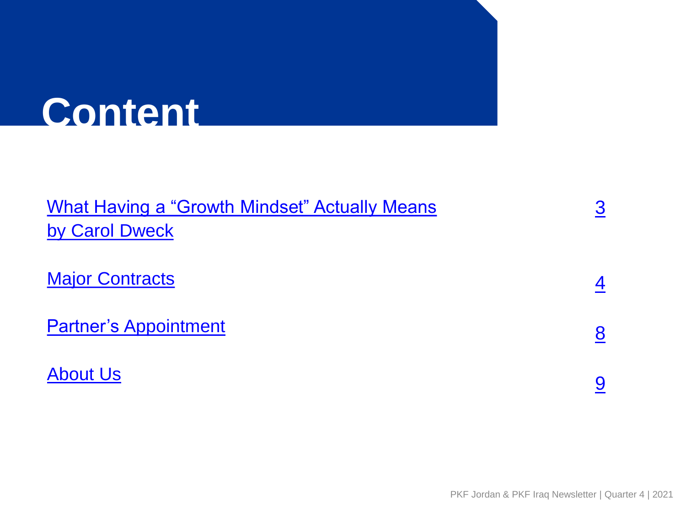# **Content**

| <b>What Having a "Growth Mindset" Actually Means</b> |  |
|------------------------------------------------------|--|
| by Carol Dweck                                       |  |
|                                                      |  |
| <b>Major Contracts</b>                               |  |
|                                                      |  |
| <b>Partner's Appointment</b>                         |  |
| <b>About Us</b>                                      |  |
|                                                      |  |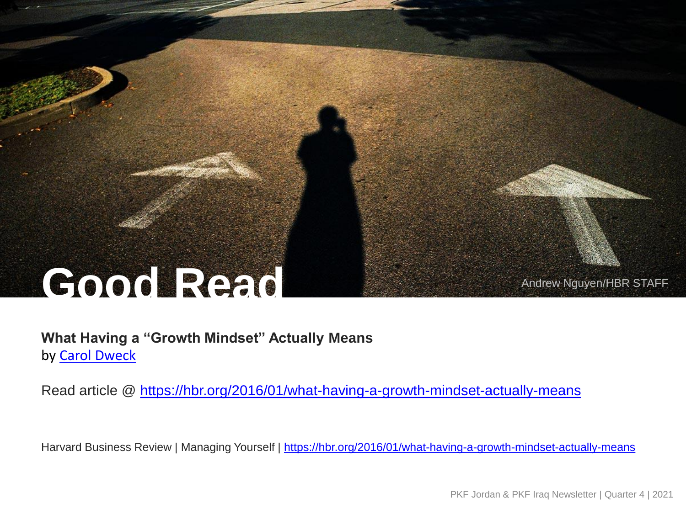# **Good Read** Andrew Nguyen/HBR STAFF

### **What Having a "Growth Mindset" Actually Means** by [Carol Dweck](https://hbr.org/search?term=carol dweck)

Read article @ <https://hbr.org/2016/01/what-having-a-growth-mindset-actually-means>

<span id="page-2-0"></span>Harvard Business Review | Managing Yourself |<https://hbr.org/2016/01/what-having-a-growth-mindset-actually-means>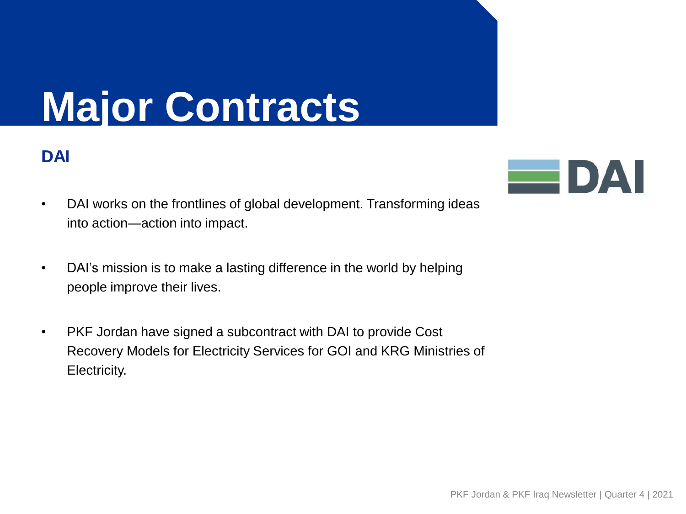### **DAI**

- DAI works on the frontlines of global development. Transforming ideas into action—action into impact.
- DAI's mission is to make a lasting difference in the world by helping people improve their lives.
- <span id="page-3-0"></span>• PKF Jordan have signed a subcontract with DAI to provide Cost Recovery Models for Electricity Services for GOI and KRG Ministries of Electricity.

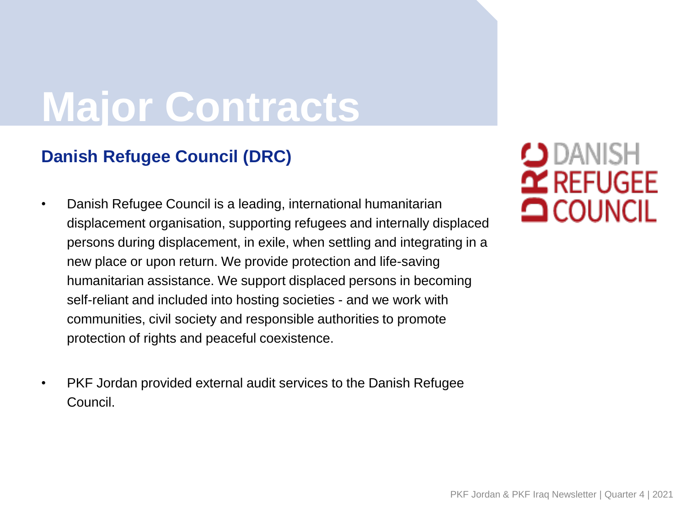### **Danish Refugee Council (DRC)**

- Danish Refugee Council is a leading, international humanitarian displacement organisation, supporting refugees and internally displaced persons during displacement, in exile, when settling and integrating in a new place or upon return. We provide protection and life-saving humanitarian assistance. We support displaced persons in becoming self-reliant and included into hosting societies - and we work with communities, civil society and responsible authorities to promote protection of rights and peaceful coexistence.
- PKF Jordan provided external audit services to the Danish Refugee Council.

### $\bigcup$  danish  $\mathbf{\Omega}$  REFUGEE **OCOUNCIL**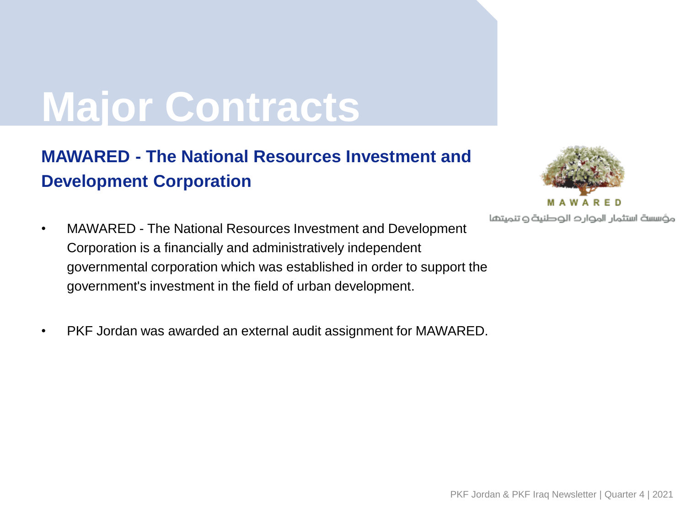### **MAWARED - The National Resources Investment and Development Corporation**

- MAWARED The National Resources Investment and Development Corporation is a financially and administratively independent governmental corporation which was established in order to support the government's investment in the field of urban development.
- PKF Jordan was awarded an external audit assignment for MAWARED.



مؤسسة استثمار الموارد الوطنية وتنميتها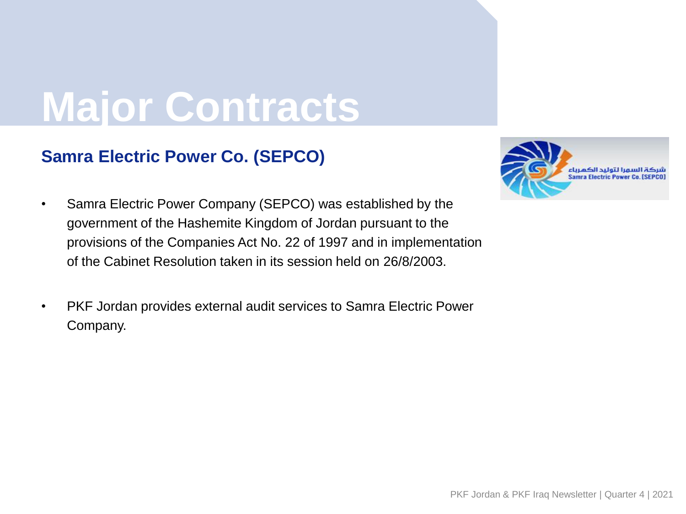### **Samra Electric Power Co. (SEPCO)**



- Samra Electric Power Company (SEPCO) was established by the government of the Hashemite Kingdom of Jordan pursuant to the provisions of the Companies Act No. 22 of 1997 and in implementation of the Cabinet Resolution taken in its session held on 26/8/2003.
- PKF Jordan provides external audit services to Samra Electric Power Company.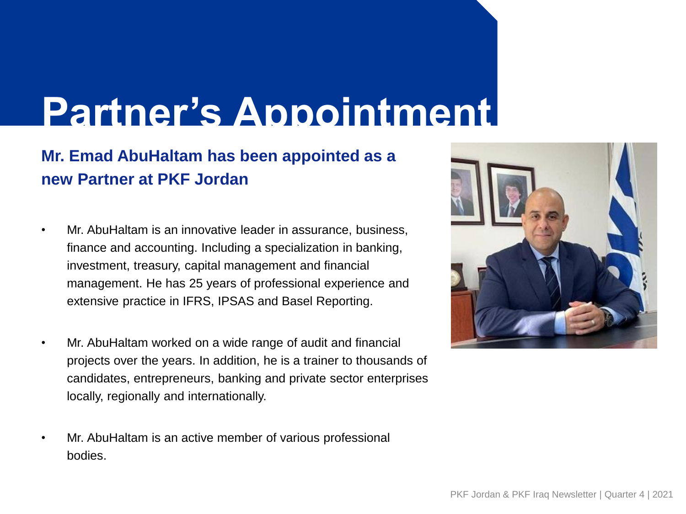# **Partner's Appointment**

### **Mr. Emad AbuHaltam has been appointed as a new Partner at PKF Jordan**

- Mr. AbuHaltam is an innovative leader in assurance, business, finance and accounting. Including a specialization in banking, investment, treasury, capital management and financial management. He has 25 years of professional experience and extensive practice in IFRS, IPSAS and Basel Reporting.
- Mr. AbuHaltam worked on a wide range of audit and financial projects over the years. In addition, he is a trainer to thousands of candidates, entrepreneurs, banking and private sector enterprises locally, regionally and internationally.
- <span id="page-7-0"></span>• Mr. AbuHaltam is an active member of various professional bodies.

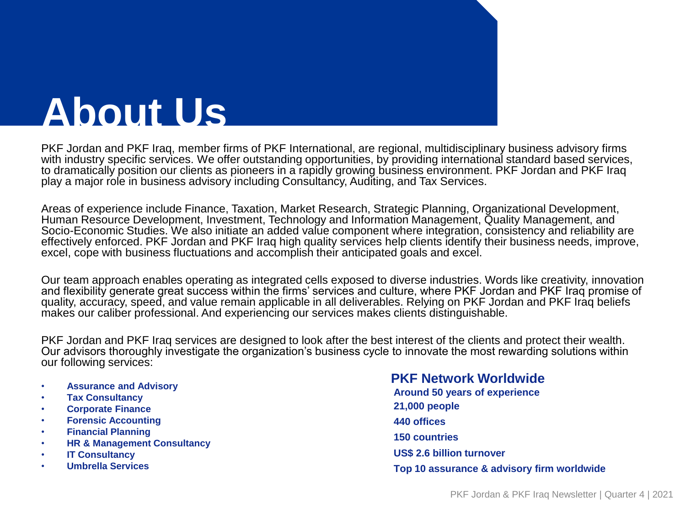PKF Jordan and PKF Iraq, member firms of PKF International, are regional, multidisciplinary business advisory firms with industry specific services. We offer outstanding opportunities, by providing international standard based services, to dramatically position our clients as pioneers in a rapidly growing business environment. PKF Jordan and PKF Iraq play a major role in business advisory including Consultancy, Auditing, and Tax Services.

Areas of experience include Finance, Taxation, Market Research, Strategic Planning, Organizational Development, Human Resource Development, Investment, Technology and Information Management, Quality Management, and Socio-Economic Studies. We also initiate an added value component where integration, consistency and reliability are effectively enforced. PKF Jordan and PKF Iraq high quality services help clients identify their business needs, improve, excel, cope with business fluctuations and accomplish their anticipated goals and excel.

Our team approach enables operating as integrated cells exposed to diverse industries. Words like creativity, innovation and flexibility generate great success within the firms' services and culture, where PKF Jordan and PKF Iraq promise of quality, accuracy, speed, and value remain applicable in all deliverables. Relying on PKF Jordan and PKF Iraq beliefs makes our caliber professional. And experiencing our services makes clients distinguishable.

PKF Jordan and PKF Iraq services are designed to look after the best interest of the clients and protect their wealth. Our advisors thoroughly investigate the organization's business cycle to innovate the most rewarding solutions within our following services:

- **Assurance and Advisory**
- **Tax Consultancy**
- **Corporate Finance**
- **Forensic Accounting**
- **Financial Planning**
- **HR & Management Consultancy**
- **IT Consultancy**
- <span id="page-8-0"></span>• **Umbrella Services**

**PKF Network Worldwide Around 50 years of experience 21,000 people 440 offices 150 countries US\$ 2.6 billion turnover Top 10 assurance & advisory firm worldwide**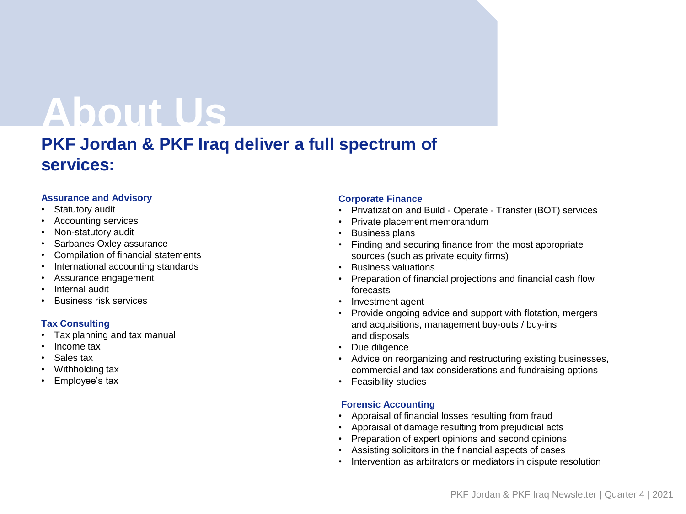### **PKF Jordan & PKF Iraq deliver a full spectrum of services:**

#### **Assurance and Advisory**

- Statutory audit
- Accounting services
- Non-statutory audit
- Sarbanes Oxley assurance
- Compilation of financial statements
- International accounting standards
- Assurance engagement
- Internal audit
- Business risk services

#### **Tax Consulting**

- Tax planning and tax manual
- Income tax
- Sales tax
- Withholding tax
- Employee's tax

#### **Corporate Finance**

- Privatization and Build Operate Transfer (BOT) services
- Private placement memorandum
- Business plans
- Finding and securing finance from the most appropriate sources (such as private equity firms)
- Business valuations
- Preparation of financial projections and financial cash flow forecasts
- Investment agent
- Provide ongoing advice and support with flotation, mergers and acquisitions, management buy-outs / buy-ins and disposals
- Due diligence
- Advice on reorganizing and restructuring existing businesses, commercial and tax considerations and fundraising options
- Feasibility studies

#### **Forensic Accounting**

- Appraisal of financial losses resulting from fraud
- Appraisal of damage resulting from prejudicial acts
- Preparation of expert opinions and second opinions
- Assisting solicitors in the financial aspects of cases
- Intervention as arbitrators or mediators in dispute resolution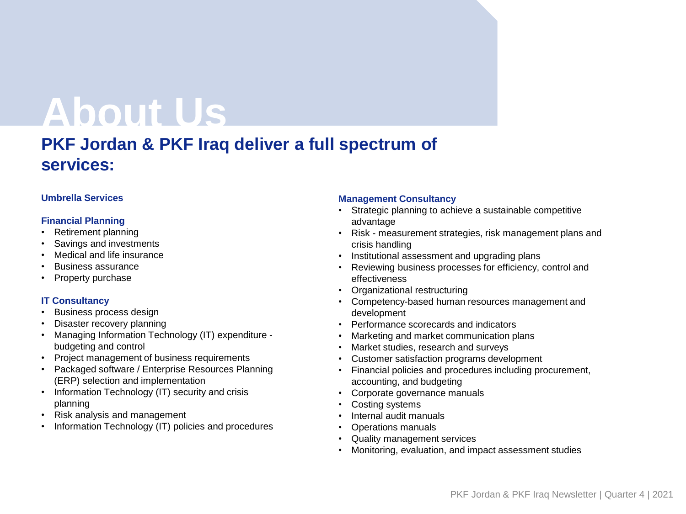### **PKF Jordan & PKF Iraq deliver a full spectrum of services:**

#### **Umbrella Services**

#### **Financial Planning**

- Retirement planning
- Savings and investments
- Medical and life insurance
- Business assurance
- Property purchase

#### **IT Consultancy**

- Business process design
- Disaster recovery planning
- Managing Information Technology (IT) expenditure budgeting and control
- Project management of business requirements
- Packaged software / Enterprise Resources Planning (ERP) selection and implementation
- Information Technology (IT) security and crisis planning
- Risk analysis and management
- Information Technology (IT) policies and procedures

#### **Management Consultancy**

- Strategic planning to achieve a sustainable competitive advantage
- Risk measurement strategies, risk management plans and crisis handling
- Institutional assessment and upgrading plans
- Reviewing business processes for efficiency, control and effectiveness
- Organizational restructuring
- Competency-based human resources management and development
- Performance scorecards and indicators
- Marketing and market communication plans
- Market studies, research and surveys
- Customer satisfaction programs development
- Financial policies and procedures including procurement, accounting, and budgeting
- Corporate governance manuals
- Costing systems
- Internal audit manuals
- Operations manuals
- Quality management services
- Monitoring, evaluation, and impact assessment studies